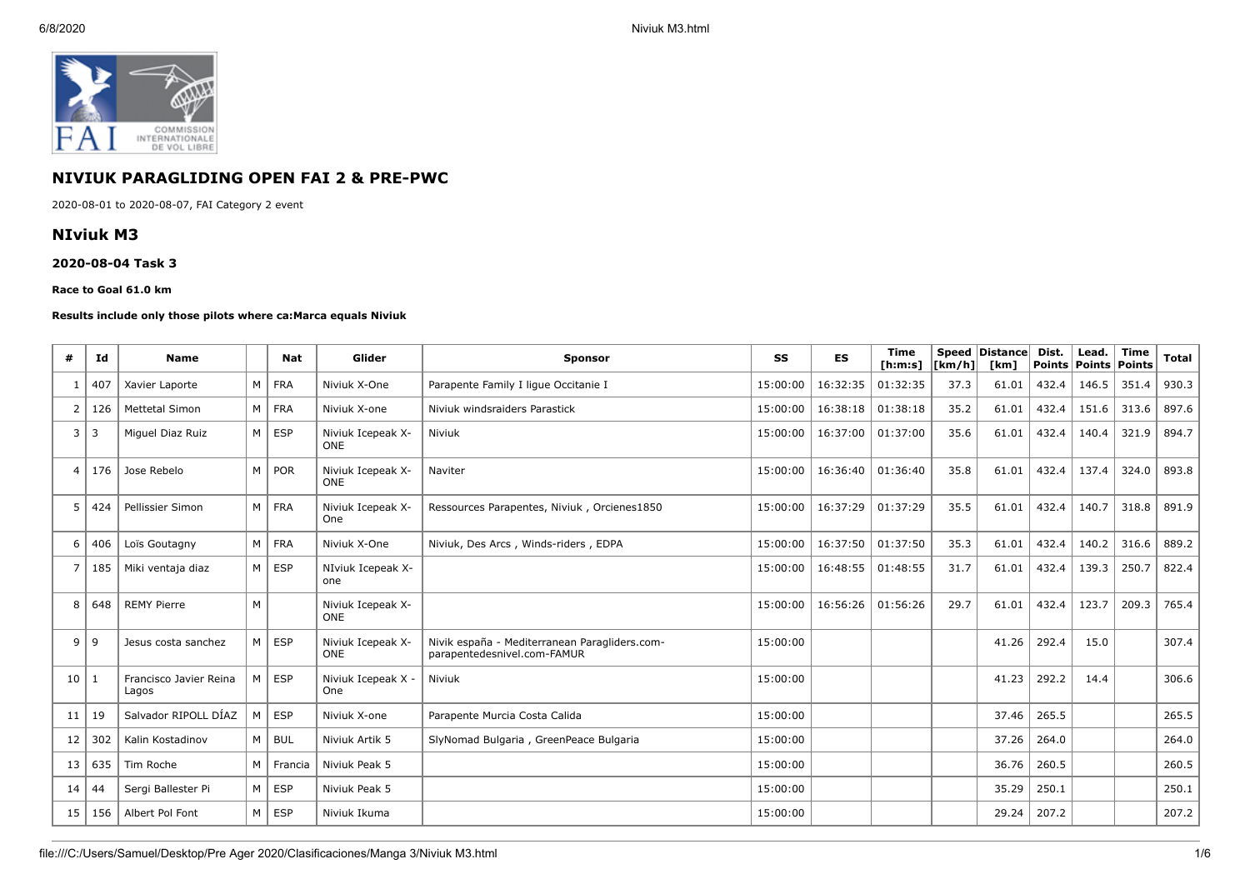

# **NIVIUK PARAGLIDING OPEN FAI 2 & PRE-PWC**

2020-08-01 to 2020-08-07, FAI Category 2 event

# **NIviuk M3**

#### **2020-08-04 Task 3**

#### **Race to Goal 61.0 km**

#### **Results include only those pilots where ca:Marca equals Niviuk**

| #               | Id             | <b>Name</b>                     |                | <b>Nat</b>    | Glider                          | <b>Sponsor</b>                                                               | SS       | ES       | <b>Time</b><br>[ <b>h</b> : <b>m</b> : <b>s</b> ] | $\lfloor \mathsf{km}/\mathsf{h} \rfloor$ | Speed Distance<br>[km] | Dist.<br>Points Points | Lead. | <b>Time</b><br>Points | <b>Total</b> |
|-----------------|----------------|---------------------------------|----------------|---------------|---------------------------------|------------------------------------------------------------------------------|----------|----------|---------------------------------------------------|------------------------------------------|------------------------|------------------------|-------|-----------------------|--------------|
| 1               | 407            | Xavier Laporte                  | M <sub>1</sub> | <b>FRA</b>    | Niviuk X-One                    | Parapente Family I ligue Occitanie I                                         | 15:00:00 | 16:32:35 | 01:32:35                                          | 37.3                                     | 61.01                  | 432.4                  | 146.5 | 351.4                 | 930.3        |
| $\overline{2}$  | 126            | Mettetal Simon                  |                | M FRA         | Niviuk X-one                    | Niviuk windsraiders Parastick                                                | 15:00:00 | 16:38:18 | 01:38:18                                          | 35.2                                     | 61.01                  | 432.4                  | 151.6 | 313.6                 | 897.6        |
| 3 <sup>1</sup>  | $\overline{3}$ | Miquel Diaz Ruiz                |                | $M \vert$ ESP | Niviuk Icepeak X-<br><b>ONE</b> | Niviuk                                                                       | 15:00:00 | 16:37:00 | 01:37:00                                          | 35.6                                     | 61.01                  | 432.4                  | 140.4 | 321.9                 | 894.7        |
| $\overline{4}$  | 176            | Jose Rebelo                     | M <sub>1</sub> | <b>POR</b>    | Niviuk Icepeak X-<br><b>ONE</b> | Naviter                                                                      | 15:00:00 | 16:36:40 | 01:36:40                                          | 35.8                                     | 61.01                  | 432.4                  | 137.4 | 324.0                 | 893.8        |
| 5               | 424            | Pellissier Simon                |                | $M$   FRA     | Niviuk Icepeak X-<br>One        | Ressources Parapentes, Niviuk, Orcienes1850                                  | 15:00:00 | 16:37:29 | 01:37:29                                          | 35.5                                     | 61.01                  | 432.4                  | 140.7 | 318.8                 | 891.9        |
| 6               | 406            | Loïs Goutagny                   |                | M FRA         | Niviuk X-One                    | Niviuk, Des Arcs, Winds-riders, EDPA                                         | 15:00:00 | 16:37:50 | 01:37:50                                          | 35.3                                     | 61.01                  | 432.4                  | 140.2 | 316.6                 | 889.2        |
| $\overline{7}$  | 185            | Miki ventaja diaz               | M <sub>1</sub> | <b>ESP</b>    | NIviuk Icepeak X-<br>one        |                                                                              | 15:00:00 | 16:48:55 | 01:48:55                                          | 31.7                                     | 61.01                  | 432.4                  | 139.3 | 250.7                 | 822.4        |
| 8               | 648            | <b>REMY Pierre</b>              | M              |               | Niviuk Icepeak X-<br><b>ONE</b> |                                                                              | 15:00:00 | 16:56:26 | 01:56:26                                          | 29.7                                     | 61.01                  | 432.4                  | 123.7 | 209.3                 | 765.4        |
| 9 <sup>1</sup>  | 9              | Jesus costa sanchez             |                | $M \vert$ ESP | Niviuk Icepeak X-<br><b>ONE</b> | Nivik españa - Mediterranean Paragliders.com-<br>parapentedesnivel.com-FAMUR | 15:00:00 |          |                                                   |                                          | 41.26                  | 292.4                  | 15.0  |                       | 307.4        |
| 10 <sup>1</sup> | -1             | Francisco Javier Reina<br>Lagos | M <sub>1</sub> | <b>ESP</b>    | Niviuk Icepeak X -<br>One       | Niviuk                                                                       | 15:00:00 |          |                                                   |                                          | 41.23                  | 292.2                  | 14.4  |                       | 306.6        |
| 11              | 19             | Salvador RIPOLL DÍAZ            | M              | <b>ESP</b>    | Niviuk X-one                    | Parapente Murcia Costa Calida                                                | 15:00:00 |          |                                                   |                                          | 37.46                  | 265.5                  |       |                       | 265.5        |
| 12              | 302            | Kalin Kostadinov                |                | $M \vert BUL$ | Niviuk Artik 5                  | SlyNomad Bulgaria, GreenPeace Bulgaria                                       | 15:00:00 |          |                                                   |                                          | 37.26                  | 264.0                  |       |                       | 264.0        |
| 13 <sup>1</sup> | 635            | Tim Roche                       | M              | Francia       | Niviuk Peak 5                   |                                                                              | 15:00:00 |          |                                                   |                                          | 36.76                  | 260.5                  |       |                       | 260.5        |
| 14              | 44             | Sergi Ballester Pi              | M <sub>1</sub> | <b>ESP</b>    | Niviuk Peak 5                   |                                                                              | 15:00:00 |          |                                                   |                                          | 35.29                  | 250.1                  |       |                       | 250.1        |
| 15              | 156            | Albert Pol Font                 | M <sub>1</sub> | <b>ESP</b>    | Niviuk Ikuma                    |                                                                              | 15:00:00 |          |                                                   |                                          | 29.24                  | 207.2                  |       |                       | 207.2        |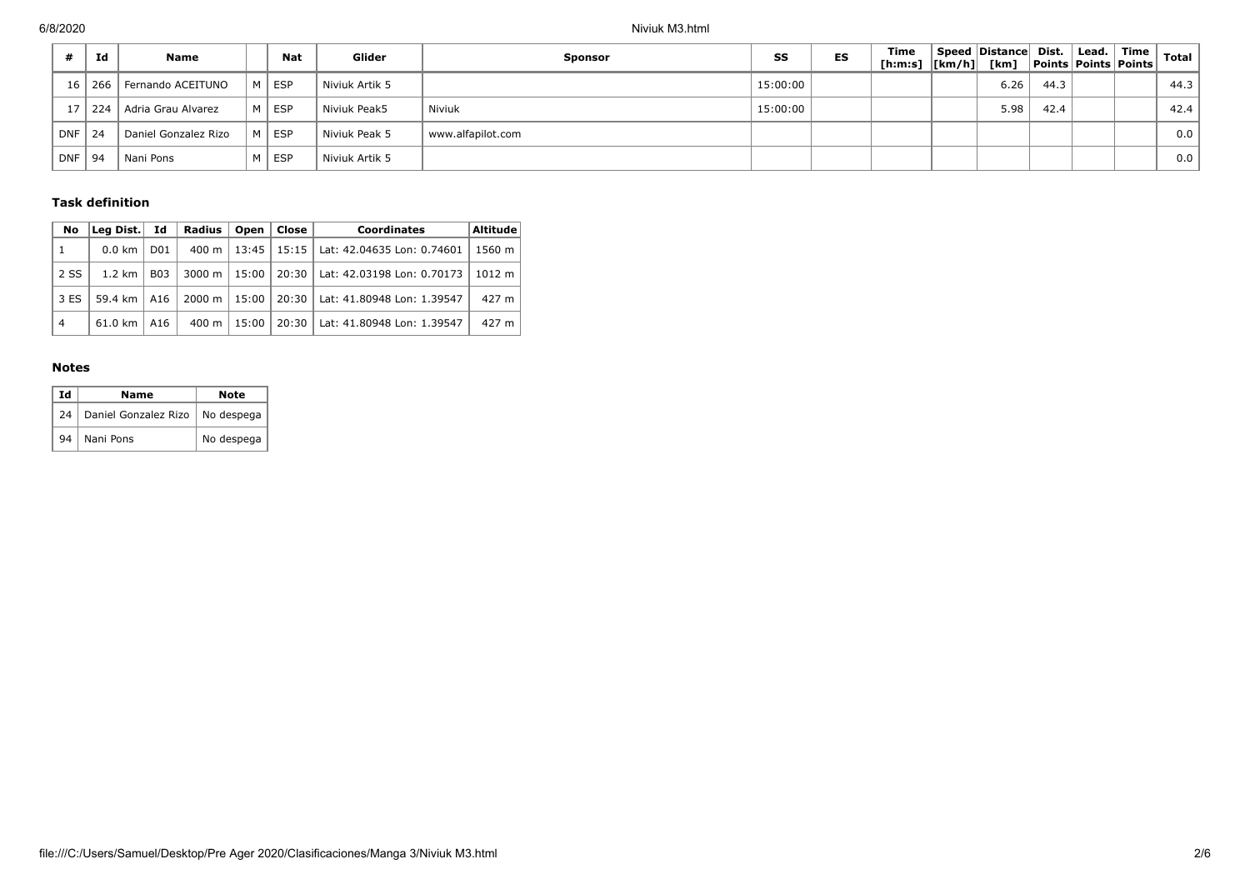|            | Id  | <b>Name</b>             |   | Nat        | Glider         | Sponsor           | SS       | ES | Time<br>[h:m:s]  [km/h]  [km] | Speed Distance Dist. |      | Lead. | ॑ Time ।<br><b>Points Points Points</b> | Total |
|------------|-----|-------------------------|---|------------|----------------|-------------------|----------|----|-------------------------------|----------------------|------|-------|-----------------------------------------|-------|
| 16         |     | 266   Fernando ACEITUNO | м | <b>ESP</b> | Niviuk Artik 5 |                   | 15:00:00 |    |                               | 6.26                 | 44.3 |       |                                         | 44.3  |
|            | 224 | Adria Grau Alvarez      | M | <b>ESP</b> | Niviuk Peak5   | Niviuk            | 15:00:00 |    |                               | 5.98                 | 42.4 |       |                                         | 42.4  |
| <b>DNF</b> | 24  | Daniel Gonzalez Rizo    | M | <b>ESP</b> | Niviuk Peak 5  | www.alfapilot.com |          |    |                               |                      |      |       |                                         | 0.0   |
| <b>DNF</b> | -94 | Nani Pons               |   | <b>ESP</b> | Niviuk Artik 5 |                   |          |    |                               |                      |      |       |                                         | 0.0   |

## **Task definition**

| No             | Lea Dist.           | Id               | Radius | Open    | Close   | <b>Coordinates</b>                         | <b>Altitude</b> |
|----------------|---------------------|------------------|--------|---------|---------|--------------------------------------------|-----------------|
| 1              | 0.0 km              | D <sub>0</sub> 1 | 400 m  |         |         | 13:45   15:15   Lat: 42.04635 Lon: 0.74601 | 1560 m          |
| 2 SS           | 1.2 km              | <b>B03</b>       | 3000 m | $15:00$ |         | 20:30   Lat: 42.03198 Lon: 0.70173         | 1012 m          |
| 3 ES           | 59.4 km $\vert$ A16 |                  | 2000 m | $15:00$ |         | 20:30   Lat: 41.80948 Lon: 1.39547         | 427 m           |
| $\overline{4}$ | 61.0 km             | A16              | 400 m  | 15:00   | $20:30$ | Lat: 41.80948 Lon: 1.39547                 | 427 m           |

### **Notes**

| Id | Name                              | Note       |
|----|-----------------------------------|------------|
| 24 | Daniel Gonzalez Rizo   No despega |            |
| 94 | Nani Pons                         | No despega |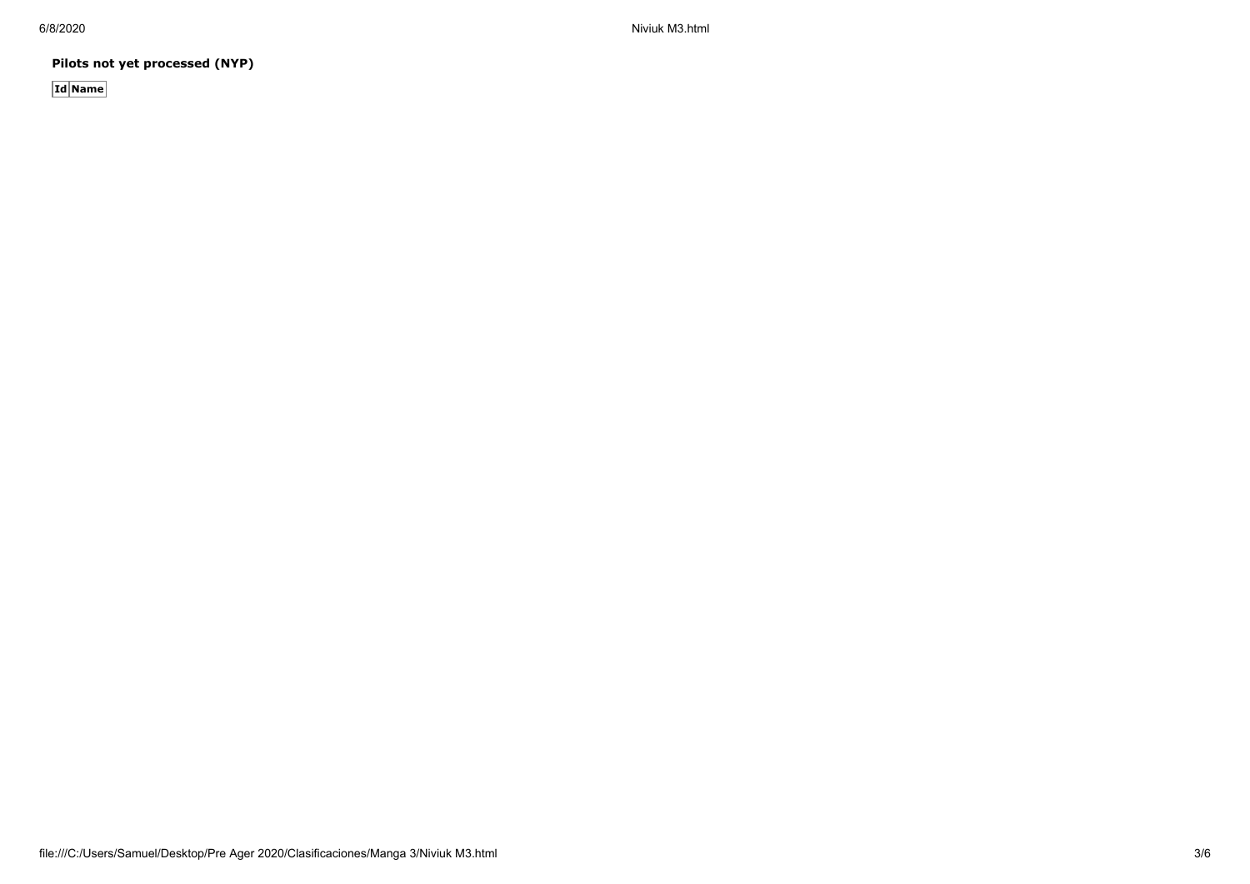6/8/2020 Niviuk M3.html

**Pilots not yet processed (NYP)**

**Id Name**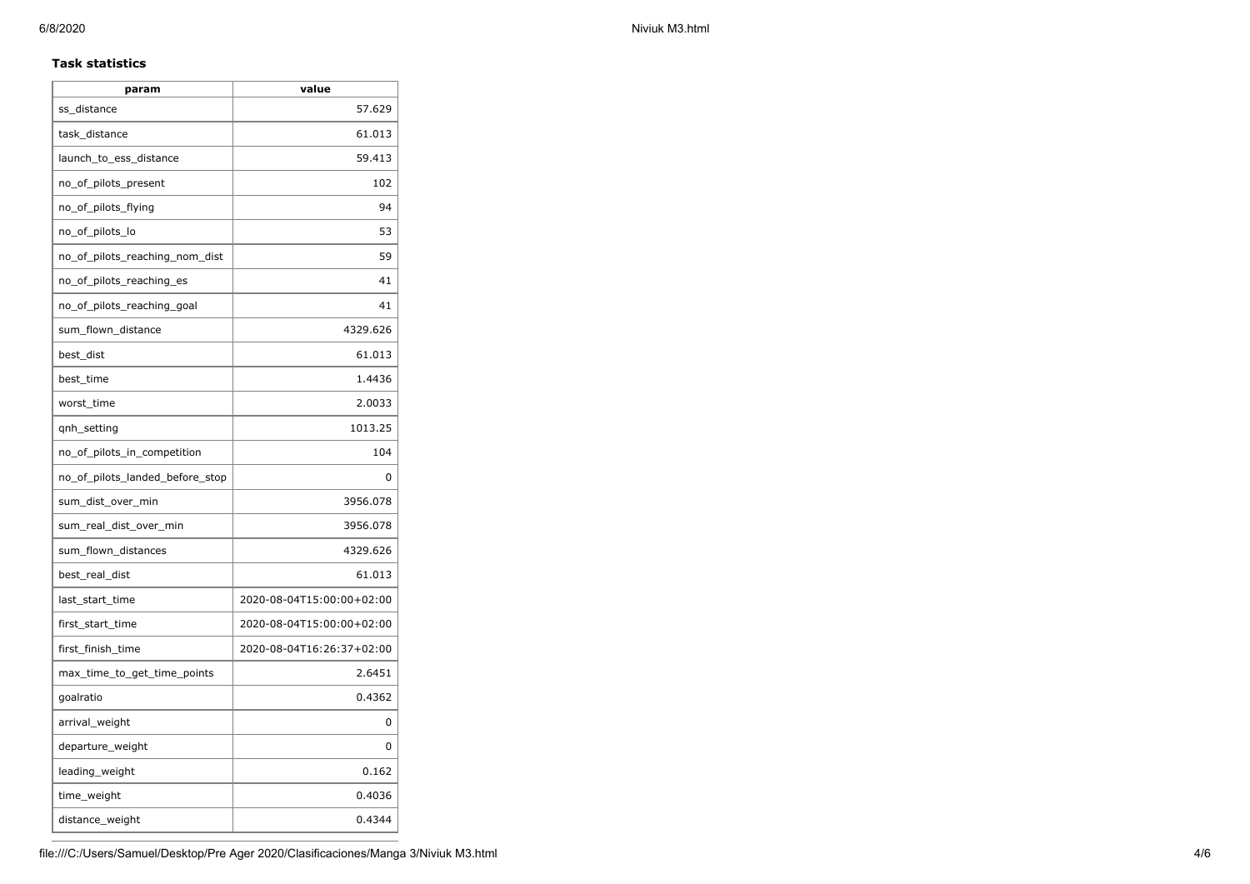# **Task statistics**

| param                           | value                     |
|---------------------------------|---------------------------|
| ss_distance                     | 57.629                    |
| task_distance                   | 61.013                    |
| launch_to_ess_distance          | 59.413                    |
| no_of_pilots_present            | 102                       |
| no_of_pilots_flying             | 94                        |
| no_of_pilots_lo                 | 53                        |
| no_of_pilots_reaching_nom_dist  | 59                        |
| no_of_pilots_reaching_es        | 41                        |
| no of pilots reaching goal      | 41                        |
| sum_flown_distance              | 4329.626                  |
| best_dist                       | 61.013                    |
| best_time                       | 1.4436                    |
| worst_time                      | 2.0033                    |
| qnh_setting                     | 1013.25                   |
| no_of_pilots_in_competition     | 104                       |
| no_of_pilots_landed_before_stop | 0                         |
| sum_dist_over_min               | 3956.078                  |
| sum_real_dist_over_min          | 3956.078                  |
| sum_flown_distances             | 4329.626                  |
| best_real_dist                  | 61.013                    |
| last_start_time                 | 2020-08-04T15:00:00+02:00 |
| first_start_time                | 2020-08-04T15:00:00+02:00 |
| first_finish_time               | 2020-08-04T16:26:37+02:00 |
| max_time_to_get_time_points     | 2.6451                    |
| goalratio                       | 0.4362                    |
| arrival_weight                  | 0                         |
| departure_weight                | 0                         |
| leading_weight                  | 0.162                     |
| time_weight                     | 0.4036                    |
| distance_weight                 | 0.4344                    |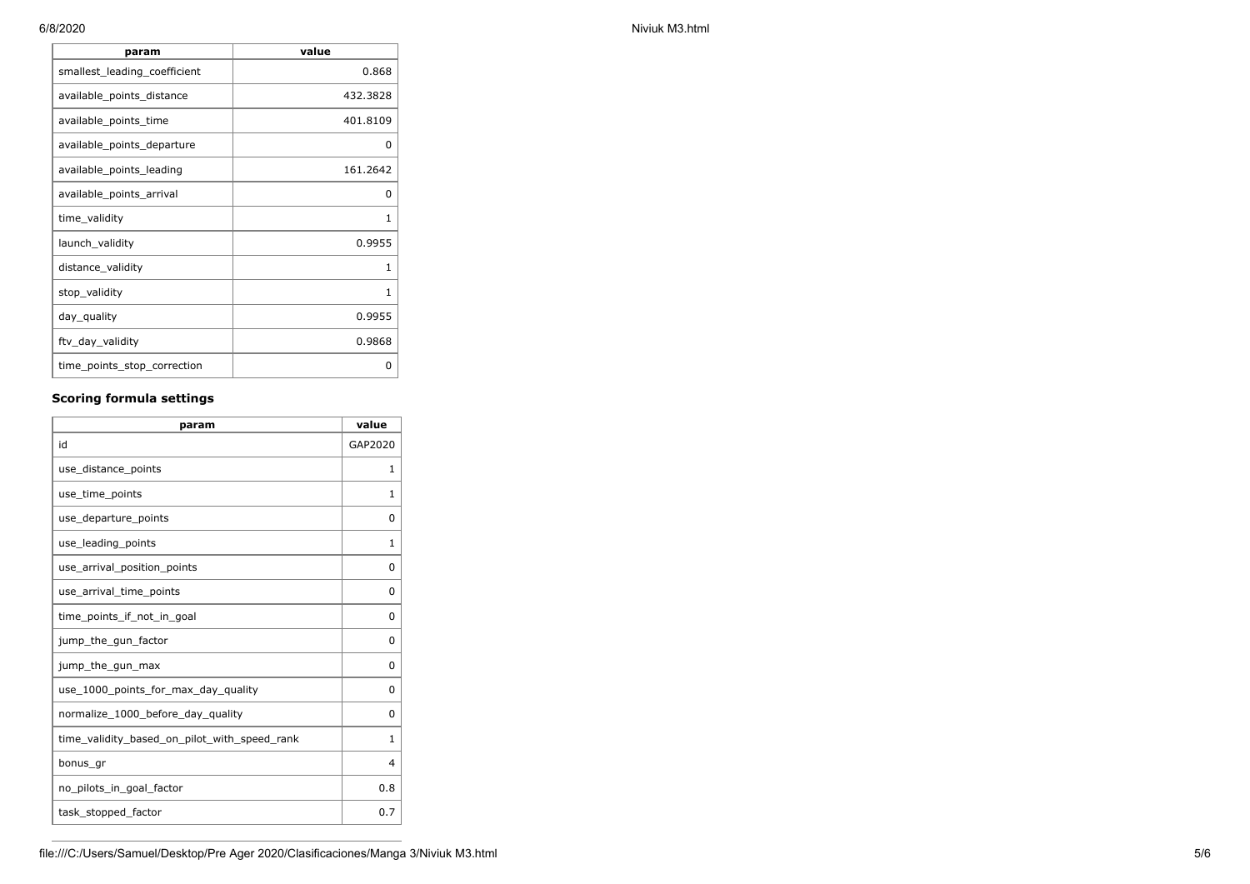| 6/8/2020 |                              |          |  |  |  |  |
|----------|------------------------------|----------|--|--|--|--|
|          | param                        | value    |  |  |  |  |
|          | smallest_leading_coefficient | 0.868    |  |  |  |  |
|          | available_points_distance    | 432.3828 |  |  |  |  |
|          | available_points_time        | 401.8109 |  |  |  |  |
|          | available_points_departure   | 0        |  |  |  |  |
|          |                              |          |  |  |  |  |

| available points time       | 401.8109 |
|-----------------------------|----------|
| available points departure  | O        |
| available_points_leading    | 161.2642 |
| available_points_arrival    | O        |
| time validity               | 1        |
| launch_validity             | 0.9955   |
| distance_validity           |          |
| stop_validity               | 1        |
| day_quality                 | 0.9955   |
| ftv_day_validity            | 0.9868   |
| time_points_stop_correction | 0        |

# **Scoring formula settings**

| param                                        | value        |
|----------------------------------------------|--------------|
| id                                           | GAP2020      |
| use_distance_points                          | 1            |
| use_time_points                              | 1            |
| use_departure_points                         | 0            |
| use_leading_points                           | 1            |
| use_arrival_position_points                  | 0            |
| use_arrival_time_points                      | 0            |
| time points if not in goal                   | 0            |
| jump_the_gun_factor                          | 0            |
| jump_the_gun_max                             | 0            |
| use 1000 points for max day quality          | 0            |
| normalize_1000_before_day_quality            | 0            |
| time_validity_based_on_pilot_with_speed_rank | $\mathbf{1}$ |
| bonus gr                                     | 4            |
| no_pilots_in_goal_factor                     | 0.8          |
| task_stopped_factor                          | 0.7          |